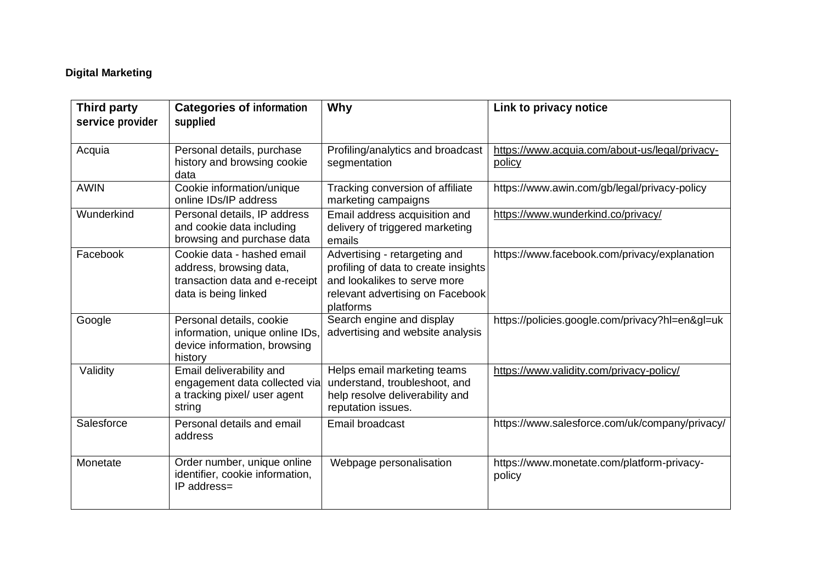## **Digital Marketing**

| Third party<br>service provider | <b>Categories of information</b><br>supplied                                                                    | Why                                                                                                                                                    | Link to privacy notice                                   |
|---------------------------------|-----------------------------------------------------------------------------------------------------------------|--------------------------------------------------------------------------------------------------------------------------------------------------------|----------------------------------------------------------|
| Acquia                          | Personal details, purchase<br>history and browsing cookie<br>data                                               | Profiling/analytics and broadcast<br>segmentation                                                                                                      | https://www.acquia.com/about-us/legal/privacy-<br>policy |
| <b>AWIN</b>                     | Cookie information/unique<br>online IDs/IP address                                                              | Tracking conversion of affiliate<br>marketing campaigns                                                                                                | https://www.awin.com/gb/legal/privacy-policy             |
| Wunderkind                      | Personal details, IP address<br>and cookie data including<br>browsing and purchase data                         | Email address acquisition and<br>delivery of triggered marketing<br>emails                                                                             | https://www.wunderkind.co/privacy/                       |
| Facebook                        | Cookie data - hashed email<br>address, browsing data,<br>transaction data and e-receipt<br>data is being linked | Advertising - retargeting and<br>profiling of data to create insights<br>and lookalikes to serve more<br>relevant advertising on Facebook<br>platforms | https://www.facebook.com/privacy/explanation             |
| Google                          | Personal details, cookie<br>information, unique online IDs<br>device information, browsing<br>history           | Search engine and display<br>advertising and website analysis                                                                                          | https://policies.google.com/privacy?hl=en≷=uk            |
| Validity                        | Email deliverability and<br>engagement data collected via<br>a tracking pixel/ user agent<br>string             | Helps email marketing teams<br>understand, troubleshoot, and<br>help resolve deliverability and<br>reputation issues.                                  | https://www.validity.com/privacy-policy/                 |
| Salesforce                      | Personal details and email<br>address                                                                           | Email broadcast                                                                                                                                        | https://www.salesforce.com/uk/company/privacy/           |
| Monetate                        | Order number, unique online<br>identifier, cookie information,<br>IP address=                                   | Webpage personalisation                                                                                                                                | https://www.monetate.com/platform-privacy-<br>policy     |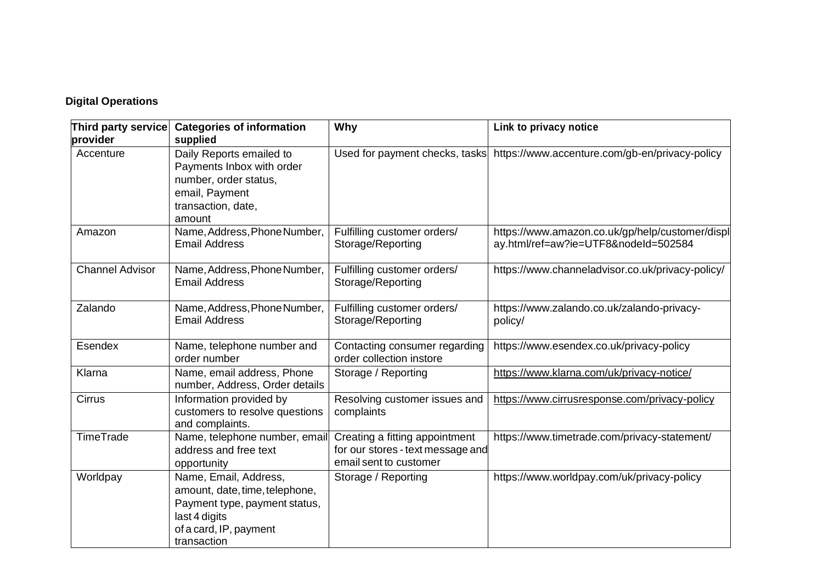## **Digital Operations**

| Third party service    | <b>Categories of information</b>                                                                                                                   | Why                                                                                           | Link to privacy notice                                                                  |
|------------------------|----------------------------------------------------------------------------------------------------------------------------------------------------|-----------------------------------------------------------------------------------------------|-----------------------------------------------------------------------------------------|
| provider               | supplied                                                                                                                                           |                                                                                               |                                                                                         |
| Accenture              | Daily Reports emailed to<br>Payments Inbox with order<br>number, order status,<br>email, Payment<br>transaction, date,<br>amount                   | Used for payment checks, tasks                                                                | https://www.accenture.com/gb-en/privacy-policy                                          |
| Amazon                 | Name, Address, Phone Number,<br><b>Email Address</b>                                                                                               | Fulfilling customer orders/<br>Storage/Reporting                                              | https://www.amazon.co.uk/gp/help/customer/displ<br>ay.html/ref=aw?ie=UTF8&nodeId=502584 |
| <b>Channel Advisor</b> | Name, Address, Phone Number,<br><b>Email Address</b>                                                                                               | Fulfilling customer orders/<br>Storage/Reporting                                              | https://www.channeladvisor.co.uk/privacy-policy/                                        |
| Zalando                | Name, Address, Phone Number,<br><b>Email Address</b>                                                                                               | Fulfilling customer orders/<br>Storage/Reporting                                              | https://www.zalando.co.uk/zalando-privacy-<br>policy/                                   |
| Esendex                | Name, telephone number and<br>order number                                                                                                         | Contacting consumer regarding<br>order collection instore                                     | https://www.esendex.co.uk/privacy-policy                                                |
| Klarna                 | Name, email address, Phone<br>number, Address, Order details                                                                                       | Storage / Reporting                                                                           | https://www.klarna.com/uk/privacy-notice/                                               |
| <b>Cirrus</b>          | Information provided by<br>customers to resolve questions<br>and complaints.                                                                       | Resolving customer issues and<br>complaints                                                   | https://www.cirrusresponse.com/privacy-policy                                           |
| <b>TimeTrade</b>       | Name, telephone number, email<br>address and free text<br>opportunity                                                                              | Creating a fitting appointment<br>for our stores - text message and<br>email sent to customer | https://www.timetrade.com/privacy-statement/                                            |
| Worldpay               | Name, Email, Address,<br>amount, date, time, telephone,<br>Payment type, payment status,<br>last 4 digits<br>of a card, IP, payment<br>transaction | Storage / Reporting                                                                           | https://www.worldpay.com/uk/privacy-policy                                              |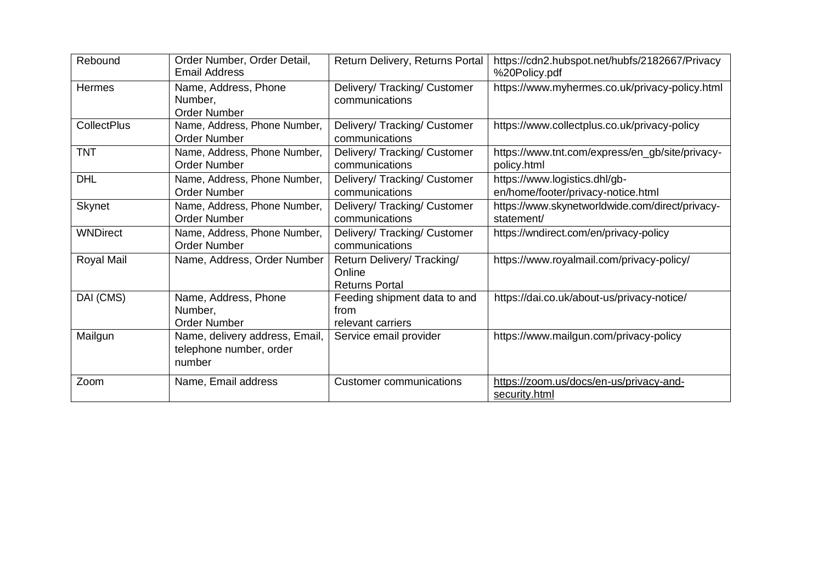| Rebound            | Order Number, Order Detail,<br>Email Address                        | Return Delivery, Returns Portal                              | https://cdn2.hubspot.net/hubfs/2182667/Privacy<br>%20Policy.pdf     |
|--------------------|---------------------------------------------------------------------|--------------------------------------------------------------|---------------------------------------------------------------------|
| <b>Hermes</b>      | Name, Address, Phone<br>Number,<br><b>Order Number</b>              | Delivery/ Tracking/ Customer<br>communications               | https://www.myhermes.co.uk/privacy-policy.html                      |
| <b>CollectPlus</b> | Name, Address, Phone Number,<br><b>Order Number</b>                 | Delivery/ Tracking/ Customer<br>communications               | https://www.collectplus.co.uk/privacy-policy                        |
| <b>TNT</b>         | Name, Address, Phone Number,<br><b>Order Number</b>                 | Delivery/ Tracking/ Customer<br>communications               | https://www.tnt.com/express/en_gb/site/privacy-<br>policy.html      |
| <b>DHL</b>         | Name, Address, Phone Number,<br><b>Order Number</b>                 | Delivery/ Tracking/ Customer<br>communications               | https://www.logistics.dhl/gb-<br>en/home/footer/privacy-notice.html |
| Skynet             | Name, Address, Phone Number,<br>Order Number                        | Delivery/ Tracking/ Customer<br>communications               | https://www.skynetworldwide.com/direct/privacy-<br>statement/       |
| <b>WNDirect</b>    | Name, Address, Phone Number,<br><b>Order Number</b>                 | Delivery/ Tracking/ Customer<br>communications               | https://wndirect.com/en/privacy-policy                              |
| Royal Mail         | Name, Address, Order Number                                         | Return Delivery/Tracking/<br>Online<br><b>Returns Portal</b> | https://www.royalmail.com/privacy-policy/                           |
| DAI (CMS)          | Name, Address, Phone<br>Number,<br>Order Number                     | Feeding shipment data to and<br>from<br>relevant carriers    | https://dai.co.uk/about-us/privacy-notice/                          |
| Mailgun            | Name, delivery address, Email,<br>telephone number, order<br>number | Service email provider                                       | https://www.mailgun.com/privacy-policy                              |
| Zoom               | Name, Email address                                                 | <b>Customer communications</b>                               | https://zoom.us/docs/en-us/privacy-and-<br>security.html            |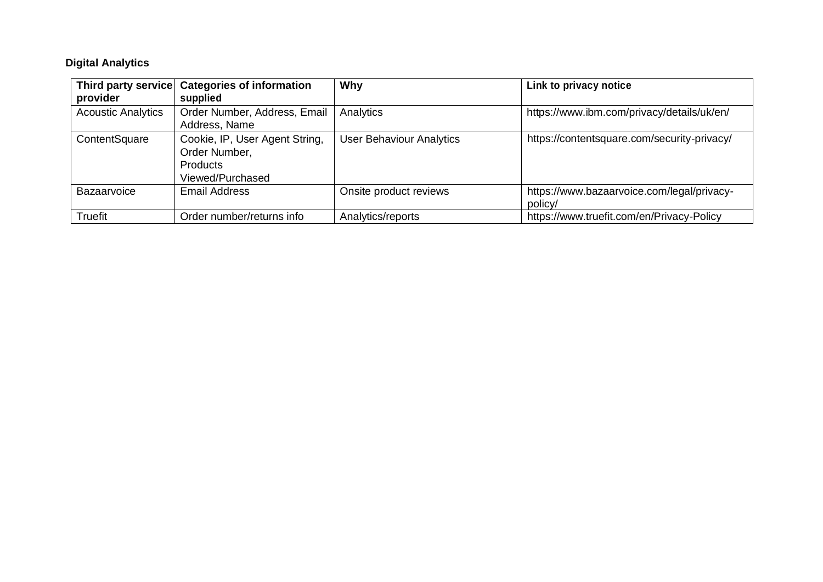## **Digital Analytics**

|                           | Third party service Categories of information | Why                             | Link to privacy notice                      |
|---------------------------|-----------------------------------------------|---------------------------------|---------------------------------------------|
| provider                  | supplied                                      |                                 |                                             |
| <b>Acoustic Analytics</b> | Order Number, Address, Email                  | Analytics                       | https://www.ibm.com/privacy/details/uk/en/  |
|                           | Address, Name                                 |                                 |                                             |
| ContentSquare             | Cookie, IP, User Agent String,                | <b>User Behaviour Analytics</b> | https://contentsquare.com/security-privacy/ |
|                           | Order Number,                                 |                                 |                                             |
|                           | <b>Products</b>                               |                                 |                                             |
|                           | Viewed/Purchased                              |                                 |                                             |
| Bazaarvoice               | <b>Email Address</b>                          | Onsite product reviews          | https://www.bazaarvoice.com/legal/privacy-  |
|                           |                                               |                                 | policy/                                     |
| <b>Truefit</b>            | Order number/returns info                     | Analytics/reports               | https://www.truefit.com/en/Privacy-Policy   |